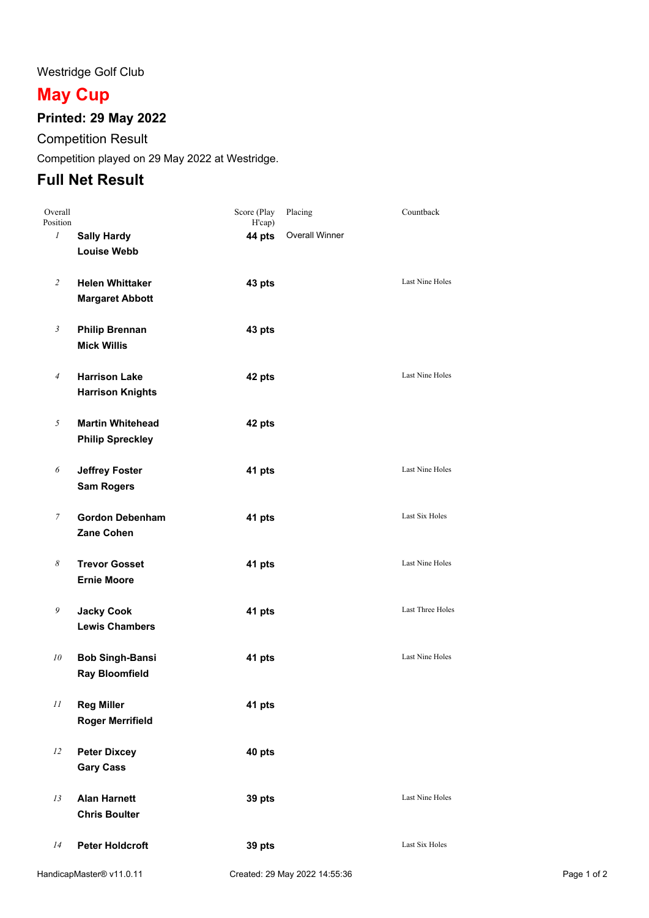#### Westridge Golf Club

# **May Cup**

# **Printed: 29 May 2022**

Competition Result

Competition played on 29 May 2022 at Westridge.

# **Full Net Result**

| Overall<br>Position   |                                                    | Score (Play<br>H'cap) | Placing               | Countback              |
|-----------------------|----------------------------------------------------|-----------------------|-----------------------|------------------------|
| $\mathcal{I}$         | <b>Sally Hardy</b><br><b>Louise Webb</b>           | 44 pts                | <b>Overall Winner</b> |                        |
| $\overline{c}$        | <b>Helen Whittaker</b><br><b>Margaret Abbott</b>   | 43 pts                |                       | <b>Last Nine Holes</b> |
| $\mathfrak{Z}$        | <b>Philip Brennan</b><br><b>Mick Willis</b>        | 43 pts                |                       |                        |
| $\sqrt{4}$            | <b>Harrison Lake</b><br><b>Harrison Knights</b>    | 42 pts                |                       | Last Nine Holes        |
| 5                     | <b>Martin Whitehead</b><br><b>Philip Spreckley</b> | 42 pts                |                       |                        |
| 6                     | <b>Jeffrey Foster</b><br><b>Sam Rogers</b>         | 41 pts                |                       | <b>Last Nine Holes</b> |
| $\boldsymbol{7}$      | <b>Gordon Debenham</b><br>Zane Cohen               | 41 pts                |                       | Last Six Holes         |
| $\boldsymbol{\delta}$ | <b>Trevor Gosset</b><br><b>Ernie Moore</b>         | 41 pts                |                       | Last Nine Holes        |
| 9                     | <b>Jacky Cook</b><br><b>Lewis Chambers</b>         | 41 pts                |                       | Last Three Holes       |
| 10                    | <b>Bob Singh-Bansi</b><br><b>Ray Bloomfield</b>    | 41 pts                |                       | Last Nine Holes        |
| $\cal II$             | <b>Reg Miller</b><br><b>Roger Merrifield</b>       | 41 pts                |                       |                        |
| 12                    | <b>Peter Dixcey</b><br><b>Gary Cass</b>            | 40 pts                |                       |                        |
| 13                    | <b>Alan Harnett</b><br><b>Chris Boulter</b>        | 39 pts                |                       | Last Nine Holes        |
| 14                    | <b>Peter Holdcroft</b>                             | 39 pts                |                       | Last Six Holes         |